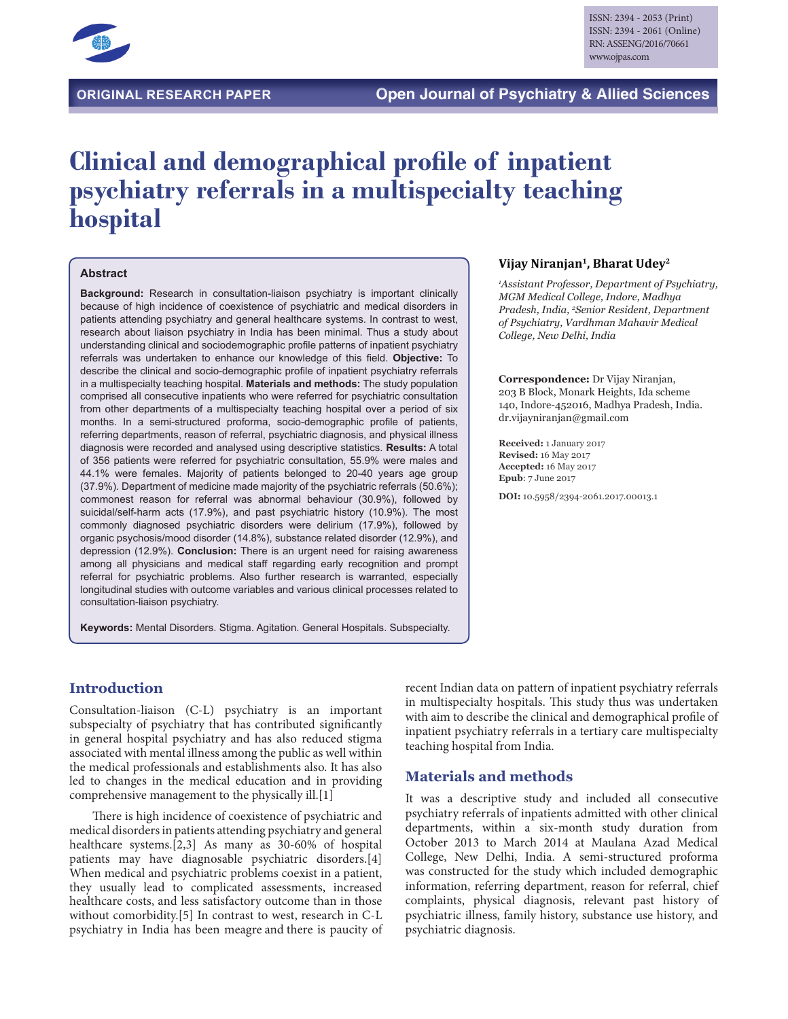

# **Clinical and demographical profile of inpatient psychiatry referrals in a multispecialty teaching hospital**

#### **Abstract**

**Background:** Research in consultation-liaison psychiatry is important clinically because of high incidence of coexistence of psychiatric and medical disorders in patients attending psychiatry and general healthcare systems. In contrast to west, research about liaison psychiatry in India has been minimal. Thus a study about understanding clinical and sociodemographic profile patterns of inpatient psychiatry referrals was undertaken to enhance our knowledge of this field. **Objective:** To describe the clinical and socio-demographic profile of inpatient psychiatry referrals in a multispecialty teaching hospital. **Materials and methods:** The study population comprised all consecutive inpatients who were referred for psychiatric consultation from other departments of a multispecialty teaching hospital over a period of six months. In a semi-structured proforma, socio-demographic profile of patients, referring departments, reason of referral, psychiatric diagnosis, and physical illness diagnosis were recorded and analysed using descriptive statistics. **Results:** A total of 356 patients were referred for psychiatric consultation, 55.9% were males and 44.1% were females. Majority of patients belonged to 20-40 years age group (37.9%). Department of medicine made majority of the psychiatric referrals (50.6%); commonest reason for referral was abnormal behaviour (30.9%), followed by suicidal/self-harm acts (17.9%), and past psychiatric history (10.9%). The most commonly diagnosed psychiatric disorders were delirium (17.9%), followed by organic psychosis/mood disorder (14.8%), substance related disorder (12.9%), and depression (12.9%). **Conclusion:** There is an urgent need for raising awareness among all physicians and medical staff regarding early recognition and prompt referral for psychiatric problems. Also further research is warranted, especially longitudinal studies with outcome variables and various clinical processes related to consultation-liaison psychiatry.

**Keywords:** Mental Disorders. Stigma. Agitation. General Hospitals. Subspecialty.

#### **Vijay Niranjan1, Bharat Udey2**

*1 Assistant Professor, Department of Psychiatry, MGM Medical College, Indore, Madhya Pradesh, India, 2 Senior Resident, Department of Psychiatry, Vardhman Mahavir Medical College, New Delhi, India*

**Correspondence:** Dr Vijay Niranjan, 203 B Block, Monark Heights, Ida scheme 140, Indore-452016, Madhya Pradesh, India. dr.vijayniranjan@gmail.com

**Received:** 1 January 2017 **Revised:** 16 May 2017 **Accepted:** 16 May 2017 **Epub**: 7 June 2017

**DOI:** 10.5958/2394-2061.2017.00013.1

# **Introduction**

Consultation-liaison (C-L) psychiatry is an important subspecialty of psychiatry that has contributed significantly in general hospital psychiatry and has also reduced stigma associated with mental illness among the public as well within the medical professionals and establishments also. It has also led to changes in the medical education and in providing comprehensive management to the physically ill.[1]

There is high incidence of coexistence of psychiatric and medical disorders in patients attending psychiatry and general healthcare systems.[2,3] As many as 30-60% of hospital patients may have diagnosable psychiatric disorders.[4] When medical and psychiatric problems coexist in a patient, they usually lead to complicated assessments, increased healthcare costs, and less satisfactory outcome than in those without comorbidity.[5] In contrast to west, research in C-L psychiatry in India has been meagre and there is paucity of recent Indian data on pattern of inpatient psychiatry referrals in multispecialty hospitals. This study thus was undertaken with aim to describe the clinical and demographical profile of inpatient psychiatry referrals in a tertiary care multispecialty teaching hospital from India.

#### **Materials and methods**

It was a descriptive study and included all consecutive psychiatry referrals of inpatients admitted with other clinical departments, within a six-month study duration from October 2013 to March 2014 at Maulana Azad Medical College, New Delhi, India. A semi-structured proforma was constructed for the study which included demographic information, referring department, reason for referral, chief complaints, physical diagnosis, relevant past history of psychiatric illness, family history, substance use history, and psychiatric diagnosis.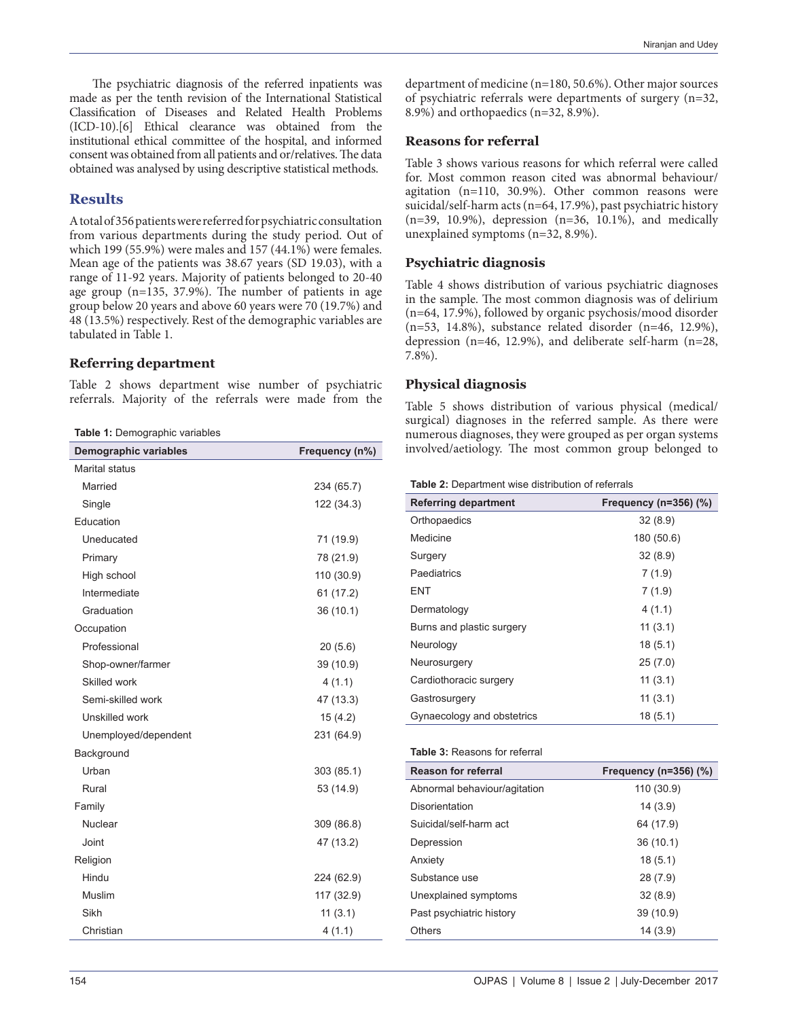The psychiatric diagnosis of the referred inpatients was made as per the tenth revision of the International Statistical Classification of Diseases and Related Health Problems (ICD-10).[6] Ethical clearance was obtained from the institutional ethical committee of the hospital, and informed consent was obtained from all patients and or/relatives. The data obtained was analysed by using descriptive statistical methods.

## **Results**

A total of 356 patients were referred for psychiatric consultation from various departments during the study period. Out of which 199 (55.9%) were males and 157 (44.1%) were females. Mean age of the patients was 38.67 years (SD 19.03), with a range of 11-92 years. Majority of patients belonged to 20-40 age group (n=135, 37.9%). The number of patients in age group below 20 years and above 60 years were 70 (19.7%) and 48 (13.5%) respectively. Rest of the demographic variables are tabulated in Table 1.

#### **Referring department**

Table 2 shows department wise number of psychiatric referrals. Majority of the referrals were made from the

**Table 1:** Demographic variables

| <b>Demographic variables</b> | Frequency (n%) |
|------------------------------|----------------|
| <b>Marital status</b>        |                |
| Married                      | 234 (65.7)     |
| Single                       | 122 (34.3)     |
| Education                    |                |
| Uneducated                   | 71 (19.9)      |
| Primary                      | 78 (21.9)      |
| High school                  | 110 (30.9)     |
| Intermediate                 | 61 (17.2)      |
| Graduation                   | 36 (10.1)      |
| Occupation                   |                |
| Professional                 | 20(5.6)        |
| Shop-owner/farmer            | 39 (10.9)      |
| Skilled work                 | 4(1.1)         |
| Semi-skilled work            | 47 (13.3)      |
| Unskilled work               | 15(4.2)        |
| Unemployed/dependent         | 231 (64.9)     |
| Background                   |                |
| Urban                        | 303 (85.1)     |
| Rural                        | 53 (14.9)      |
| Family                       |                |
| Nuclear                      | 309 (86.8)     |
| Joint                        | 47 (13.2)      |
| Religion                     |                |
| Hindu                        | 224 (62.9)     |
| Muslim                       | 117 (32.9)     |
| Sikh                         | 11(3.1)        |
| Christian                    | 4(1.1)         |

department of medicine (n=180, 50.6%). Other major sources of psychiatric referrals were departments of surgery (n=32, 8.9%) and orthopaedics (n=32, 8.9%).

#### **Reasons for referral**

Table 3 shows various reasons for which referral were called for. Most common reason cited was abnormal behaviour/ agitation (n=110, 30.9%). Other common reasons were suicidal/self-harm acts (n=64, 17.9%), past psychiatric history  $(n=39, 10.9\%)$ , depression  $(n=36, 10.1\%)$ , and medically unexplained symptoms (n=32, 8.9%).

## **Psychiatric diagnosis**

Table 4 shows distribution of various psychiatric diagnoses in the sample. The most common diagnosis was of delirium (n=64, 17.9%), followed by organic psychosis/mood disorder (n=53, 14.8%), substance related disorder (n=46, 12.9%), depression (n=46, 12.9%), and deliberate self-harm (n=28, 7.8%).

#### **Physical diagnosis**

Table 5 shows distribution of various physical (medical/ surgical) diagnoses in the referred sample. As there were numerous diagnoses, they were grouped as per organ systems involved/aetiology. The most common group belonged to

| <b>Referring department</b> | Frequency (n=356) (%) |
|-----------------------------|-----------------------|
| Orthopaedics                | 32(8.9)               |
| Medicine                    | 180 (50.6)            |
| Surgery                     | 32(8.9)               |
| Paediatrics                 | 7(1.9)                |
| ENT                         | 7(1.9)                |
| Dermatology                 | 4(1.1)                |
| Burns and plastic surgery   | 11(3.1)               |
| Neurology                   | 18(5.1)               |
| Neurosurgery                | 25(7.0)               |
| Cardiothoracic surgery      | 11(3.1)               |
| Gastrosurgery               | 11(3.1)               |
| Gynaecology and obstetrics  | 18(5.1)               |

#### **Table 3:** Reasons for referral

| <b>Reason for referral</b>   | Frequency ( $n=356$ ) (%) |
|------------------------------|---------------------------|
| Abnormal behaviour/agitation | 110 (30.9)                |
| Disorientation               | 14(3.9)                   |
| Suicidal/self-harm act       | 64 (17.9)                 |
| Depression                   | 36 (10.1)                 |
| Anxiety                      | 18(5.1)                   |
| Substance use                | 28 (7.9)                  |
| Unexplained symptoms         | 32(8.9)                   |
| Past psychiatric history     | 39 (10.9)                 |
| Others                       | 14(3.9)                   |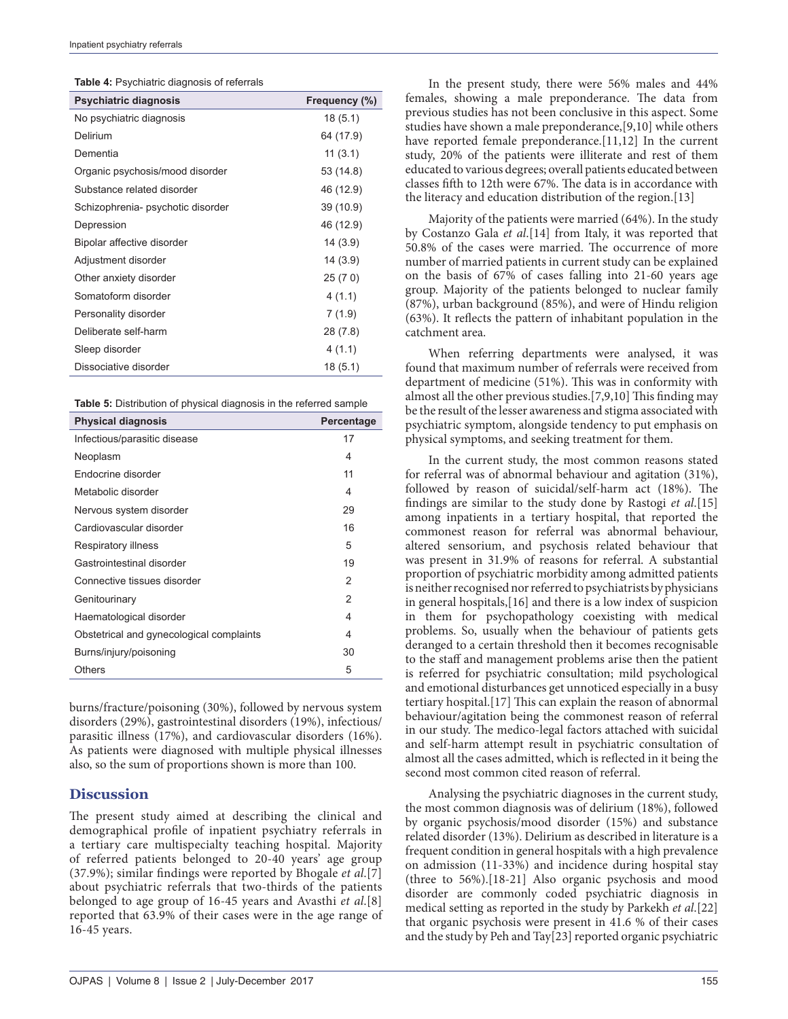**Table 4:** Psychiatric diagnosis of referrals

| <b>Table 11</b> Toyor Hat To alaghoolo of Tolon alo |               |
|-----------------------------------------------------|---------------|
| <b>Psychiatric diagnosis</b>                        | Frequency (%) |
| No psychiatric diagnosis                            | 18(5.1)       |
| Delirium                                            | 64 (17.9)     |
| Dementia                                            | 11(3.1)       |
| Organic psychosis/mood disorder                     | 53 (14.8)     |
| Substance related disorder                          | 46 (12.9)     |
| Schizophrenia- psychotic disorder                   | 39 (10.9)     |
| Depression                                          | 46 (12.9)     |
| Bipolar affective disorder                          | 14(3.9)       |
| Adjustment disorder                                 | 14 (3.9)      |
| Other anxiety disorder                              | 25 (7 0)      |
| Somatoform disorder                                 | 4(1.1)        |
| Personality disorder                                | 7(1.9)        |
| Deliberate self-harm                                | 28 (7.8)      |
| Sleep disorder                                      | 4(1.1)        |
| Dissociative disorder                               | 18 (5.1)      |
|                                                     |               |

**Table 5:** Distribution of physical diagnosis in the referred sample

| <b>Physical diagnosis</b>                | Percentage |
|------------------------------------------|------------|
| Infectious/parasitic disease             | 17         |
| Neoplasm                                 | 4          |
| Endocrine disorder                       | 11         |
| Metabolic disorder                       | 4          |
| Nervous system disorder                  | 29         |
| Cardiovascular disorder                  | 16         |
| Respiratory illness                      | 5          |
| Gastrointestinal disorder                | 19         |
| Connective tissues disorder              | 2          |
| Genitourinary                            | 2          |
| Haematological disorder                  | 4          |
| Obstetrical and gynecological complaints | 4          |
| Burns/injury/poisoning                   | 30         |
| <b>Others</b>                            | 5          |

burns/fracture/poisoning (30%), followed by nervous system disorders (29%), gastrointestinal disorders (19%), infectious/ parasitic illness (17%), and cardiovascular disorders (16%). As patients were diagnosed with multiple physical illnesses also, so the sum of proportions shown is more than 100.

## **Discussion**

The present study aimed at describing the clinical and demographical profile of inpatient psychiatry referrals in a tertiary care multispecialty teaching hospital. Majority of referred patients belonged to 20-40 years' age group (37.9%); similar findings were reported by Bhogale *et al*.[7] about psychiatric referrals that two-thirds of the patients belonged to age group of 16-45 years and Avasthi *et al*.[8] reported that 63.9% of their cases were in the age range of 16-45 years.

In the present study, there were 56% males and 44% females, showing a male preponderance. The data from previous studies has not been conclusive in this aspect. Some studies have shown a male preponderance,[9,10] while others have reported female preponderance.[11,12] In the current study, 20% of the patients were illiterate and rest of them educated to various degrees; overall patients educated between classes fifth to 12th were 67%. The data is in accordance with the literacy and education distribution of the region.[13]

Majority of the patients were married (64%). In the study by Costanzo Gala *et al*.[14] from Italy, it was reported that 50.8% of the cases were married. The occurrence of more number of married patients in current study can be explained on the basis of 67% of cases falling into 21-60 years age group. Majority of the patients belonged to nuclear family (87%), urban background (85%), and were of Hindu religion (63%). It reflects the pattern of inhabitant population in the catchment area.

When referring departments were analysed, it was found that maximum number of referrals were received from department of medicine (51%). This was in conformity with almost all the other previous studies.[7,9,10] This finding may be the result of the lesser awareness and stigma associated with psychiatric symptom, alongside tendency to put emphasis on physical symptoms, and seeking treatment for them.

In the current study, the most common reasons stated for referral was of abnormal behaviour and agitation (31%), followed by reason of suicidal/self-harm act (18%). The findings are similar to the study done by Rastogi *et al*.[15] among inpatients in a tertiary hospital, that reported the commonest reason for referral was abnormal behaviour, altered sensorium, and psychosis related behaviour that was present in 31.9% of reasons for referral. A substantial proportion of psychiatric morbidity among admitted patients is neither recognised nor referred to psychiatrists by physicians in general hospitals,[16] and there is a low index of suspicion in them for psychopathology coexisting with medical problems. So, usually when the behaviour of patients gets deranged to a certain threshold then it becomes recognisable to the staff and management problems arise then the patient is referred for psychiatric consultation; mild psychological and emotional disturbances get unnoticed especially in a busy tertiary hospital.[17] This can explain the reason of abnormal behaviour/agitation being the commonest reason of referral in our study. The medico-legal factors attached with suicidal and self-harm attempt result in psychiatric consultation of almost all the cases admitted, which is reflected in it being the second most common cited reason of referral.

Analysing the psychiatric diagnoses in the current study, the most common diagnosis was of delirium (18%), followed by organic psychosis/mood disorder (15%) and substance related disorder (13%). Delirium as described in literature is a frequent condition in general hospitals with a high prevalence on admission (11-33%) and incidence during hospital stay (three to 56%).[18-21] Also organic psychosis and mood disorder are commonly coded psychiatric diagnosis in medical setting as reported in the study by Parkekh *et al*.[22] that organic psychosis were present in 41.6 % of their cases and the study by Peh and Tay[23] reported organic psychiatric